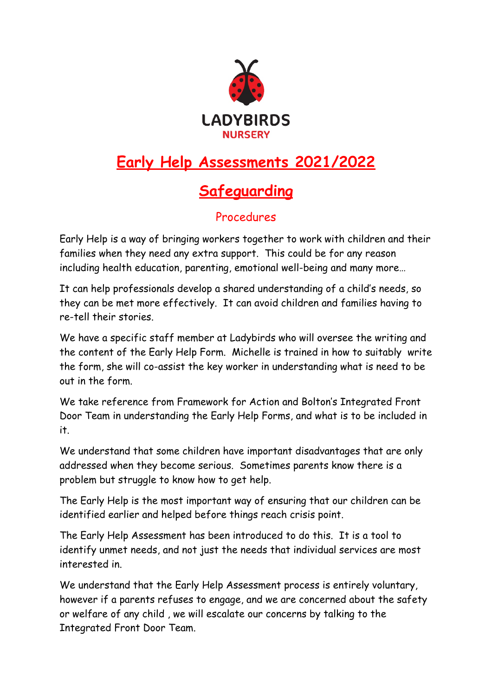

# **Early Help Assessments 2021/2022**

## **Safeguarding**

## Procedures

Early Help is a way of bringing workers together to work with children and their families when they need any extra support. This could be for any reason including health education, parenting, emotional well-being and many more…

It can help professionals develop a shared understanding of a child's needs, so they can be met more effectively. It can avoid children and families having to re-tell their stories.

We have a specific staff member at Ladybirds who will oversee the writing and the content of the Early Help Form. Michelle is trained in how to suitably write the form, she will co-assist the key worker in understanding what is need to be out in the form.

We take reference from Framework for Action and Bolton's Integrated Front Door Team in understanding the Early Help Forms, and what is to be included in it.

We understand that some children have important disadvantages that are only addressed when they become serious. Sometimes parents know there is a problem but struggle to know how to get help.

The Early Help is the most important way of ensuring that our children can be identified earlier and helped before things reach crisis point.

The Early Help Assessment has been introduced to do this. It is a tool to identify unmet needs, and not just the needs that individual services are most interested in.

We understand that the Early Help Assessment process is entirely voluntary, however if a parents refuses to engage, and we are concerned about the safety or welfare of any child , we will escalate our concerns by talking to the Integrated Front Door Team.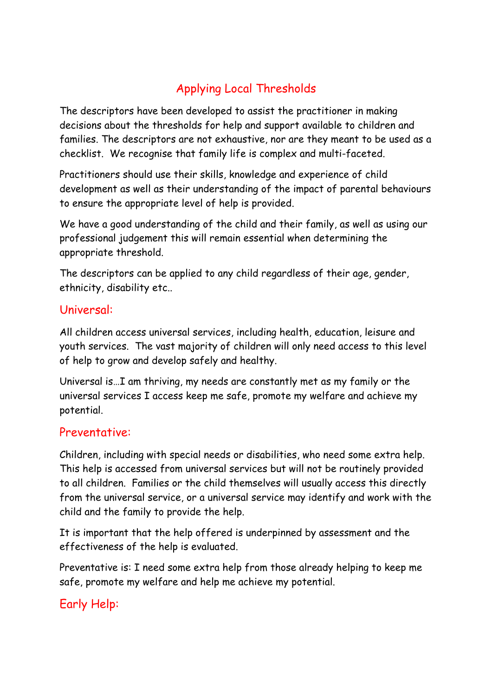## Applying Local Thresholds

The descriptors have been developed to assist the practitioner in making decisions about the thresholds for help and support available to children and families. The descriptors are not exhaustive, nor are they meant to be used as a checklist. We recognise that family life is complex and multi-faceted.

Practitioners should use their skills, knowledge and experience of child development as well as their understanding of the impact of parental behaviours to ensure the appropriate level of help is provided.

We have a good understanding of the child and their family, as well as using our professional judgement this will remain essential when determining the appropriate threshold.

The descriptors can be applied to any child regardless of their age, gender, ethnicity, disability etc..

#### Universal:

All children access universal services, including health, education, leisure and youth services. The vast majority of children will only need access to this level of help to grow and develop safely and healthy.

Universal is…I am thriving, my needs are constantly met as my family or the universal services I access keep me safe, promote my welfare and achieve my potential.

#### Preventative:

Children, including with special needs or disabilities, who need some extra help. This help is accessed from universal services but will not be routinely provided to all children. Families or the child themselves will usually access this directly from the universal service, or a universal service may identify and work with the child and the family to provide the help.

It is important that the help offered is underpinned by assessment and the effectiveness of the help is evaluated.

Preventative is: I need some extra help from those already helping to keep me safe, promote my welfare and help me achieve my potential.

## Early Help: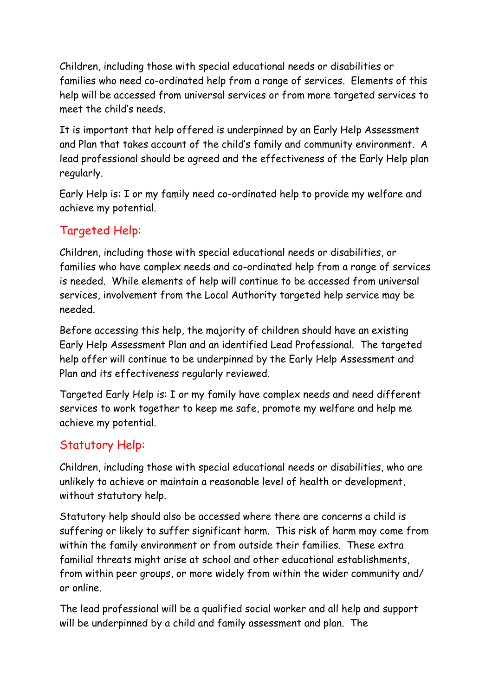Children, including those with special educational needs or disabilities or families who need co-ordinated help from a range of services. Elements of this help will be accessed from universal services or from more targeted services to meet the child's needs.

It is important that help offered is underpinned by an Early Help Assessment and Plan that takes account of the child's family and community environment. A lead professional should be agreed and the effectiveness of the Early Help plan regularly.

Early Help is: I or my family need co-ordinated help to provide my welfare and achieve my potential.

## Targeted Help:

Children, including those with special educational needs or disabilities, or families who have complex needs and co-ordinated help from a range of services is needed. While elements of help will continue to be accessed from universal services, involvement from the Local Authority targeted help service may be needed.

Before accessing this help, the majority of children should have an existing Early Help Assessment Plan and an identified Lead Professional. The targeted help offer will continue to be underpinned by the Early Help Assessment and Plan and its effectiveness regularly reviewed.

Targeted Early Help is: I or my family have complex needs and need different services to work together to keep me safe, promote my welfare and help me achieve my potential.

#### Statutory Help:

Children, including those with special educational needs or disabilities, who are unlikely to achieve or maintain a reasonable level of health or development, without statutory help.

Statutory help should also be accessed where there are concerns a child is suffering or likely to suffer significant harm. This risk of harm may come from within the family environment or from outside their families. These extra familial threats might arise at school and other educational establishments, from within peer groups, or more widely from within the wider community and/ or online.

The lead professional will be a qualified social worker and all help and support will be underpinned by a child and family assessment and plan. The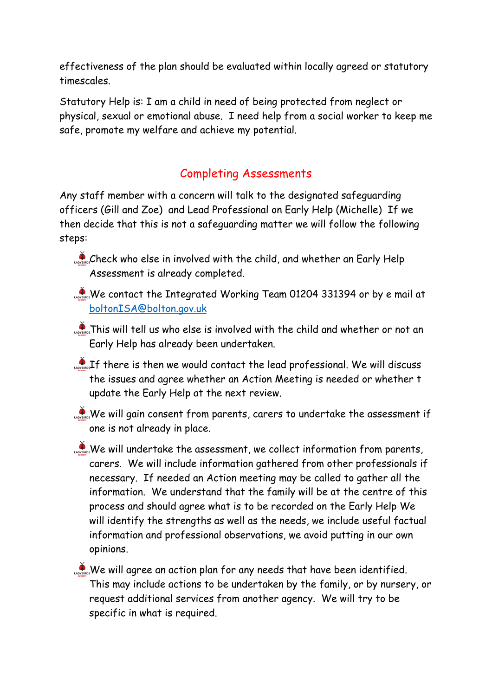effectiveness of the plan should be evaluated within locally agreed or statutory timescales.

Statutory Help is: I am a child in need of being protected from neglect or physical, sexual or emotional abuse. I need help from a social worker to keep me safe, promote my welfare and achieve my potential.

## Completing Assessments

Any staff member with a concern will talk to the designated safeguarding officers (Gill and Zoe) and Lead Professional on Early Help (Michelle) If we then decide that this is not a safeguarding matter we will follow the following steps:

- Check who else in involved with the child, and whether an Early Help Assessment is already completed.
- We contact the Integrated Working Team 01204 331394 or by e mail at [boltonISA@bolton.gov.uk](mailto:boltonISA@bolton.gov.uk)
- **This will tell us who else is involved with the child and whether or not an** Early Help has already been undertaken.
- $\mathcal{L}_{\text{obs}}$  If there is then we would contact the lead professional. We will discuss the issues and agree whether an Action Meeting is needed or whether t update the Early Help at the next review.
- We will gain consent from parents, carers to undertake the assessment if one is not already in place.
- We will undertake the assessment, we collect information from parents, carers. We will include information gathered from other professionals if necessary. If needed an Action meeting may be called to gather all the information. We understand that the family will be at the centre of this process and should agree what is to be recorded on the Early Help We will identify the strengths as well as the needs, we include useful factual information and professional observations, we avoid putting in our own opinions.
- $\bullet$  We will agree an action plan for any needs that have been identified. This may include actions to be undertaken by the family, or by nursery, or request additional services from another agency. We will try to be specific in what is required.